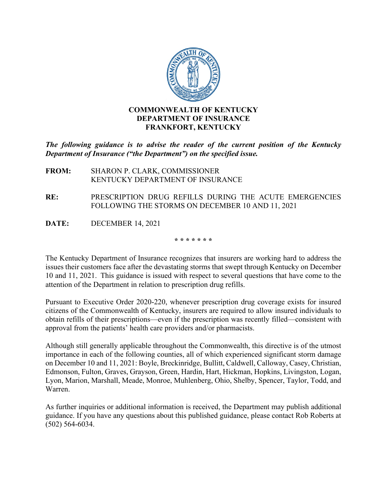

*The following guidance is to advise the reader of the current position of the Kentucky Department of Insurance ("the Department") on the specified issue.*

- **FROM:** SHARON P. CLARK, COMMISSIONER KENTUCKY DEPARTMENT OF INSURANCE
- **RE:** PRESCRIPTION DRUG REFILLS DURING THE ACUTE EMERGENCIES FOLLOWING THE STORMS ON DECEMBER 10 AND 11, 2021
- **DATE:** DECEMBER 14, 2021

**\* \* \* \* \* \* \***

The Kentucky Department of Insurance recognizes that insurers are working hard to address the issues their customers face after the devastating storms that swept through Kentucky on December 10 and 11, 2021. This guidance is issued with respect to several questions that have come to the attention of the Department in relation to prescription drug refills.

Pursuant to Executive Order 2020-220, whenever prescription drug coverage exists for insured citizens of the Commonwealth of Kentucky, insurers are required to allow insured individuals to obtain refills of their prescriptions—even if the prescription was recently filled—consistent with approval from the patients' health care providers and/or pharmacists.

Although still generally applicable throughout the Commonwealth, this directive is of the utmost importance in each of the following counties, all of which experienced significant storm damage on December 10 and 11, 2021: Boyle, Breckinridge, Bullitt, Caldwell, Calloway, Casey, Christian, Edmonson, Fulton, Graves, Grayson, Green, Hardin, Hart, Hickman, Hopkins, Livingston, Logan, Lyon, Marion, Marshall, Meade, Monroe, Muhlenberg, Ohio, Shelby, Spencer, Taylor, Todd, and Warren.

As further inquiries or additional information is received, the Department may publish additional guidance. If you have any questions about this published guidance, please contact Rob Roberts at (502) 564-6034.